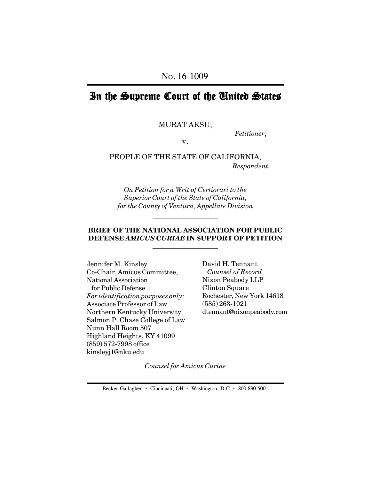# In the Supreme Court of the United States

## MURAT AKSU,

*Petitioner*,

v.

PEOPLE OF THE STATE OF CALIFORNIA,  *Respondent*.

*On Petition for a Writ of Certiorari to the Superior Court of the State of California, for the County of Ventura, Appellate Division*

## **BRIEF OF THE NATIONAL ASSOCIATION FOR PUBLIC DEFENSE** *AMICUS CURIAE* **IN SUPPORT OF PETITION**

Jennifer M. Kinsley Co-Chair, Amicus Committee, National Association for Public Defense *For identification purposes only*: Associate Professor of Law Northern Kentucky University Salmon P. Chase College of Law Nunn Hall Room 507 Highland Heights, KY 41099 (859) 572-7998 office kinsleyj1@nku.edu

David H. Tennant *Counsel of Record* Nixon Peabody LLP Clinton Square Rochester, New York 14618 (585) 263-1021 dtennant@nixonpeabody.com

*Counsel for Amicus Curiae*

Becker Gallagher **·** Cincinnati, OH **·** Washington, D.C. **·** 800.890.5001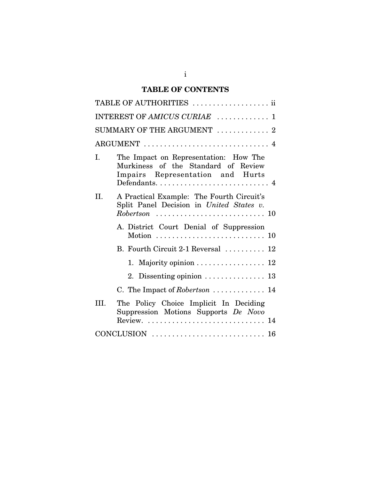## **TABLE OF CONTENTS**

| TABLE OF AUTHORITIES  ii                                                                                               |
|------------------------------------------------------------------------------------------------------------------------|
| INTEREST OF AMICUS CURIAE  1                                                                                           |
| SUMMARY OF THE ARGUMENT $\ldots \ldots \ldots \ldots$                                                                  |
| ARGUMENT  4                                                                                                            |
| The Impact on Representation: How The<br>L.<br>Murkiness of the Standard of Review<br>Impairs Representation and Hurts |
| A Practical Example: The Fourth Circuit's<br>II.<br>Split Panel Decision in United States v.                           |
| A. District Court Denial of Suppression<br>Motion $\ldots \ldots \ldots \ldots \ldots \ldots \ldots \ldots \ldots 10$  |
| B. Fourth Circuit 2-1 Reversal  12                                                                                     |
| 1. Majority opinion $\ldots \ldots \ldots \ldots \ldots 12$                                                            |
| 2. Dissenting opinion $\ldots \ldots \ldots \ldots \ldots$ 13                                                          |
| C. The Impact of Robertson  14                                                                                         |
| The Policy Choice Implicit In Deciding<br>III.<br>Suppression Motions Supports De Novo<br>Review.  14                  |
|                                                                                                                        |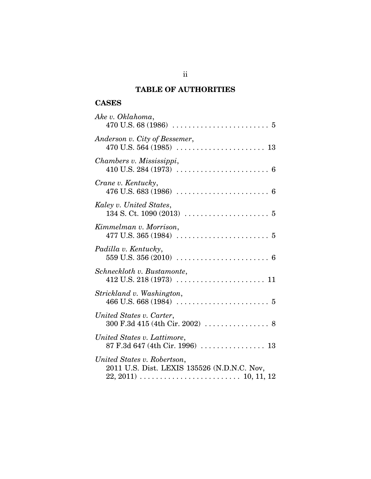## **TABLE OF AUTHORITIES**

## **CASES**

| Ake v. Oklahoma,                                                                                                                                                    |
|---------------------------------------------------------------------------------------------------------------------------------------------------------------------|
| Anderson v. City of Bessemer,                                                                                                                                       |
| Chambers v. Mississippi,                                                                                                                                            |
| Crane v. Kentucky,                                                                                                                                                  |
| Kaley v. United States,                                                                                                                                             |
| Kimmelman v. Morrison,                                                                                                                                              |
| Padilla v. Kentucky,<br>559 U.S. 356 (2010) $\ldots \ldots \ldots \ldots \ldots \ldots \ldots \ldots \ldots$                                                        |
| Schneckloth v. Bustamonte,                                                                                                                                          |
| Strickland v. Washington,                                                                                                                                           |
| United States v. Carter,                                                                                                                                            |
| United States v. Lattimore,                                                                                                                                         |
| United States v. Robertson,<br>2011 U.S. Dist. LEXIS 135526 (N.D.N.C. Nov,<br>$22, 2011) \ldots \ldots \ldots \ldots \ldots \ldots \ldots \ldots \ldots 10, 11, 12$ |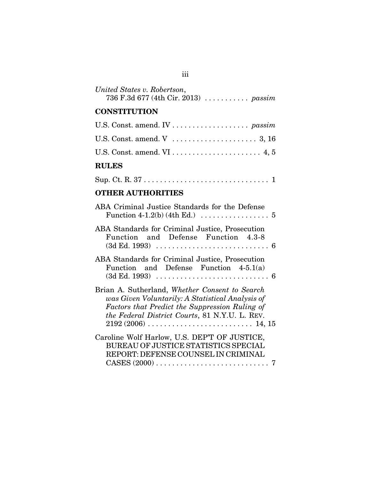| United States v. Robertson,          |  |
|--------------------------------------|--|
| 736 F.3d 677 (4th Cir. 2013)  passim |  |

## **CONSTITUTION**

| <b>RULES</b> |  |
|--------------|--|
|              |  |
|              |  |
|              |  |

| Sup. Ct. R. 37 $\dots\dots\dots\dots\dots\dots\dots\dots\dots\dots\dots\dots\dots$ |  |
|------------------------------------------------------------------------------------|--|
|------------------------------------------------------------------------------------|--|

## **OTHER AUTHORITIES**

| ABA Criminal Justice Standards for the Defense<br>Function 4-1.2(b) (4th Ed.) $\ldots \ldots \ldots \ldots \ldots 5$                                                                                   |
|--------------------------------------------------------------------------------------------------------------------------------------------------------------------------------------------------------|
| ABA Standards for Criminal Justice, Prosecution<br>Function and Defense Function 4.3-8                                                                                                                 |
| ABA Standards for Criminal Justice, Prosecution<br>Function and Defense Function 4-5.1(a)                                                                                                              |
| Brian A. Sutherland, Whether Consent to Search<br>was Given Voluntarily: A Statistical Analysis of<br>Factors that Predict the Suppression Ruling of<br>the Federal District Courts, 81 N.Y.U. L. REV. |
| Caroline Wolf Harlow, U.S. DEP'T OF JUSTICE,<br>BUREAU OF JUSTICE STATISTICS SPECIAL<br>REPORT: DEFENSE COUNSEL IN CRIMINAL                                                                            |

## iii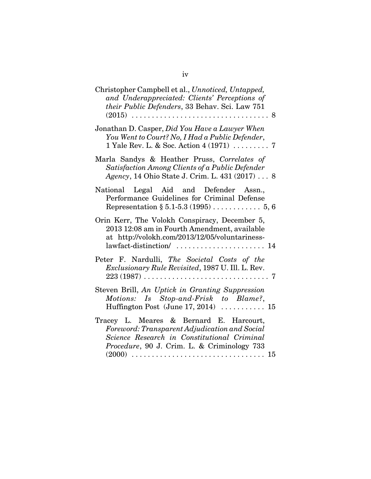| Christopher Campbell et al., Unnoticed, Untapped,<br>and Underappreciated: Clients' Perceptions of<br>their Public Defenders, 33 Behav. Sci. Law 751<br>$(2015)$<br>. 8                         |
|-------------------------------------------------------------------------------------------------------------------------------------------------------------------------------------------------|
| Jonathan D. Casper, Did You Have a Lawyer When<br>You Went to Court? No, I Had a Public Defender,<br>1 Yale Rev. L. & Soc. Action 4 (1971)  7                                                   |
| Marla Sandys & Heather Pruss, Correlates of<br>Satisfaction Among Clients of a Public Defender<br>Agency, 14 Ohio State J. Crim. L. 431 (2017) 8                                                |
| National Legal Aid and Defender<br>Assn.,<br>Performance Guidelines for Criminal Defense                                                                                                        |
| Orin Kerr, The Volokh Conspiracy, December 5,<br>2013 12:08 am in Fourth Amendment, available<br>at http://volokh.com/2013/12/05/voluntariness-<br>lawfact-distinction/  14                     |
| Peter F. Nardulli, The Societal Costs of the<br>Exclusionary Rule Revisited, 1987 U. Ill. L. Rev.<br>$223\,(1987)\,\ldots\,\ldots\,\ldots\,\ldots\,\ldots\,\ldots\,\ldots\,\ldots\,\ldots\,\,7$ |
| Steven Brill, An Uptick in Granting Suppression<br>Motions: Is Stop-and-Frisk to Blame?,<br>Huffington Post (June 17, 2014)  15                                                                 |
| Tracey L. Meares & Bernard E. Harcourt,<br>Foreword: Transparent Adjudication and Social<br>Science Research in Constitutional Criminal<br>Procedure, 90 J. Crim. L. & Criminology 733          |
|                                                                                                                                                                                                 |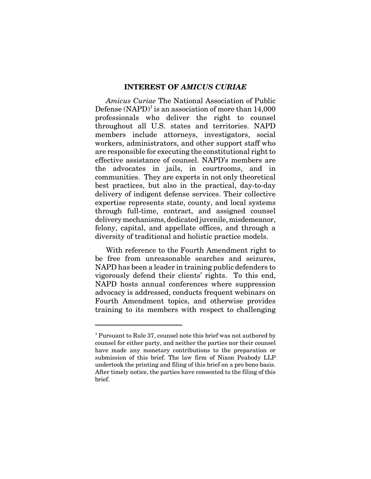### **INTEREST OF** *AMICUS CURIAE*

*Amicus Curiae* The National Association of Public Defense  $(NAPD)^1$  is an association of more than  $14,000$ professionals who deliver the right to counsel throughout all U.S. states and territories. NAPD members include attorneys, investigators, social workers, administrators, and other support staff who are responsible for executing the constitutional right to effective assistance of counsel. NAPD's members are the advocates in jails, in courtrooms, and in communities. They are experts in not only theoretical best practices, but also in the practical, day-to-day delivery of indigent defense services. Their collective expertise represents state, county, and local systems through full-time, contract, and assigned counsel delivery mechanisms, dedicated juvenile, misdemeanor, felony, capital, and appellate offices, and through a diversity of traditional and holistic practice models.

With reference to the Fourth Amendment right to be free from unreasonable searches and seizures, NAPD has been a leader in training public defenders to vigorously defend their clients' rights. To this end, NAPD hosts annual conferences where suppression advocacy is addressed, conducts frequent webinars on Fourth Amendment topics, and otherwise provides training to its members with respect to challenging

<sup>&</sup>lt;sup>1</sup> Pursuant to Rule 37, counsel note this brief was not authored by counsel for either party, and neither the parties nor their counsel have made any monetary contributions to the preparation or submission of this brief. The law firm of Nixon Peabody LLP undertook the printing and filing of this brief on a pro bono basis. After timely notice, the parties have consented to the filing of this brief.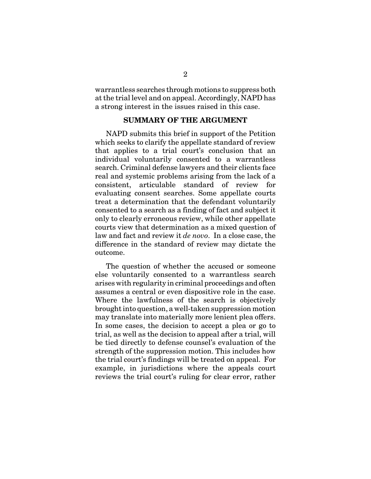warrantless searches through motions to suppress both at the trial level and on appeal. Accordingly, NAPD has a strong interest in the issues raised in this case.

## **SUMMARY OF THE ARGUMENT**

NAPD submits this brief in support of the Petition which seeks to clarify the appellate standard of review that applies to a trial court's conclusion that an individual voluntarily consented to a warrantless search. Criminal defense lawyers and their clients face real and systemic problems arising from the lack of a consistent, articulable standard of review for evaluating consent searches. Some appellate courts treat a determination that the defendant voluntarily consented to a search as a finding of fact and subject it only to clearly erroneous review, while other appellate courts view that determination as a mixed question of law and fact and review it *de novo*. In a close case, the difference in the standard of review may dictate the outcome.

The question of whether the accused or someone else voluntarily consented to a warrantless search arises with regularity in criminal proceedings and often assumes a central or even dispositive role in the case. Where the lawfulness of the search is objectively brought into question, a well-taken suppression motion may translate into materially more lenient plea offers. In some cases, the decision to accept a plea or go to trial, as well as the decision to appeal after a trial, will be tied directly to defense counsel's evaluation of the strength of the suppression motion. This includes how the trial court's findings will be treated on appeal. For example, in jurisdictions where the appeals court reviews the trial court's ruling for clear error, rather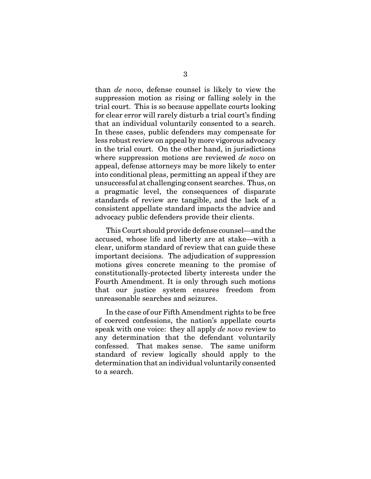than *de novo*, defense counsel is likely to view the suppression motion as rising or falling solely in the trial court. This is so because appellate courts looking for clear error will rarely disturb a trial court's finding that an individual voluntarily consented to a search. In these cases, public defenders may compensate for less robust review on appeal by more vigorous advocacy in the trial court. On the other hand, in jurisdictions where suppression motions are reviewed *de novo* on appeal, defense attorneys may be more likely to enter into conditional pleas, permitting an appeal if they are unsuccessful at challenging consent searches. Thus, on a pragmatic level, the consequences of disparate standards of review are tangible, and the lack of a consistent appellate standard impacts the advice and advocacy public defenders provide their clients.

This Court should provide defense counsel—and the accused, whose life and liberty are at stake—with a clear, uniform standard of review that can guide these important decisions. The adjudication of suppression motions gives concrete meaning to the promise of constitutionally-protected liberty interests under the Fourth Amendment. It is only through such motions that our justice system ensures freedom from unreasonable searches and seizures.

In the case of our Fifth Amendment rights to be free of coerced confessions, the nation's appellate courts speak with one voice: they all apply *de novo* review to any determination that the defendant voluntarily confessed. That makes sense. The same uniform standard of review logically should apply to the determination that an individual voluntarily consented to a search.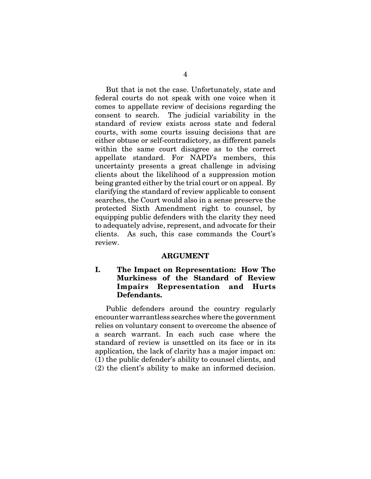But that is not the case. Unfortunately, state and federal courts do not speak with one voice when it comes to appellate review of decisions regarding the consent to search. The judicial variability in the standard of review exists across state and federal courts, with some courts issuing decisions that are either obtuse or self-contradictory, as different panels within the same court disagree as to the correct appellate standard. For NAPD's members, this uncertainty presents a great challenge in advising clients about the likelihood of a suppression motion being granted either by the trial court or on appeal. By clarifying the standard of review applicable to consent searches, the Court would also in a sense preserve the protected Sixth Amendment right to counsel, by equipping public defenders with the clarity they need to adequately advise, represent, and advocate for their clients. As such, this case commands the Court's review.

#### **ARGUMENT**

## **I. The Impact on Representation: How The Murkiness of the Standard of Review Impairs Representation and Hurts Defendants.**

Public defenders around the country regularly encounter warrantless searches where the government relies on voluntary consent to overcome the absence of a search warrant. In each such case where the standard of review is unsettled on its face or in its application, the lack of clarity has a major impact on: (1) the public defender's ability to counsel clients, and (2) the client's ability to make an informed decision.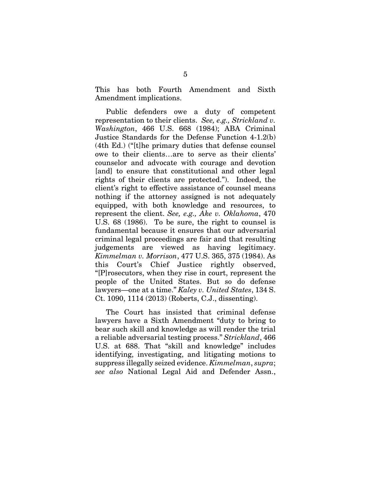This has both Fourth Amendment and Sixth Amendment implications.

Public defenders owe a duty of competent representation to their clients. *See, e.g., Strickland v. Washington*, 466 U.S. 668 (1984); ABA Criminal Justice Standards for the Defense Function 4-1.2(b) (4th Ed.) ("[t]he primary duties that defense counsel owe to their clients…are to serve as their clients' counselor and advocate with courage and devotion [and] to ensure that constitutional and other legal rights of their clients are protected."). Indeed, the client's right to effective assistance of counsel means nothing if the attorney assigned is not adequately equipped, with both knowledge and resources, to represent the client. *See, e.g., Ake v. Oklahoma*, 470 U.S. 68 (1986). To be sure, the right to counsel is fundamental because it ensures that our adversarial criminal legal proceedings are fair and that resulting judgements are viewed as having legitimacy. *Kimmelman v. Morrison*, 477 U.S. 365, 375 (1984). As this Court's Chief Justice rightly observed, "[P]rosecutors, when they rise in court, represent the people of the United States. But so do defense lawyers—one at a time." *Kaley v. United States*, 134 S. Ct. 1090, 1114 (2013) (Roberts, C.J., dissenting).

The Court has insisted that criminal defense lawyers have a Sixth Amendment "duty to bring to bear such skill and knowledge as will render the trial a reliable adversarial testing process." *Strickland*, 466 U.S. at 688. That "skill and knowledge" includes identifying, investigating, and litigating motions to suppress illegally seized evidence. *Kimmelman*, *supra*; *see also* National Legal Aid and Defender Assn.,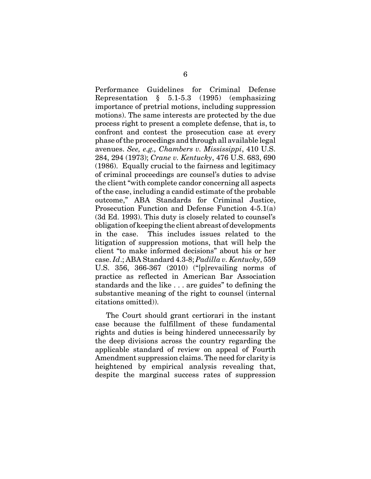Performance Guidelines for Criminal Defense Representation § 5.1-5.3 (1995) (emphasizing importance of pretrial motions, including suppression motions). The same interests are protected by the due process right to present a complete defense, that is, to confront and contest the prosecution case at every phase of the proceedings and through all available legal avenues. *See, e.g., Chambers v. Mississippi*, 410 U.S. 284, 294 (1973); *Crane v. Kentucky*, 476 U.S. 683, 690 (1986). Equally crucial to the fairness and legitimacy of criminal proceedings are counsel's duties to advise the client "with complete candor concerning all aspects of the case, including a candid estimate of the probable outcome," ABA Standards for Criminal Justice, Prosecution Function and Defense Function 4-5.1(a) (3d Ed. 1993). This duty is closely related to counsel's obligation of keeping the client abreast of developments in the case. This includes issues related to the litigation of suppression motions, that will help the client "to make informed decisions" about his or her case. *Id*.; ABA Standard 4.3-8; *Padilla v. Kentucky*, 559 U.S. 356, 366-367 (2010) ("[p]revailing norms of practice as reflected in American Bar Association standards and the like . . . are guides" to defining the substantive meaning of the right to counsel (internal citations omitted)).

The Court should grant certiorari in the instant case because the fulfillment of these fundamental rights and duties is being hindered unnecessarily by the deep divisions across the country regarding the applicable standard of review on appeal of Fourth Amendment suppression claims. The need for clarity is heightened by empirical analysis revealing that, despite the marginal success rates of suppression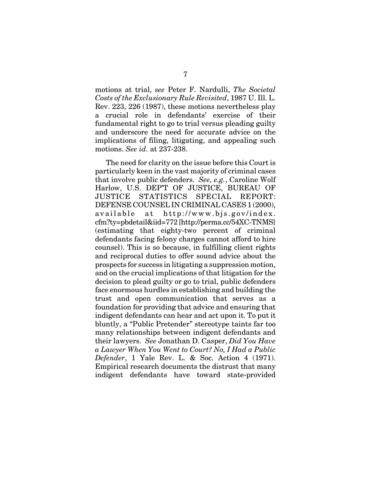motions at trial, *see* Peter F. Nardulli, *The Societal Costs of the Exclusionary Rule Revisited*, 1987 U. Ill. L. Rev. 223, 226 (1987), these motions nevertheless play a crucial role in defendants' exercise of their fundamental right to go to trial versus pleading guilty and underscore the need for accurate advice on the implications of filing, litigating, and appealing such motions. *See id*. at 237-238.

The need for clarity on the issue before this Court is particularly keen in the vast majority of criminal cases that involve public defenders. *See, e.g.*, Caroline Wolf Harlow, U.S. DEP'T OF JUSTICE, BUREAU OF JUSTICE STATISTICS SPECIAL REPORT: DEFENSE COUNSEL IN CRIMINAL CASES 1 (2000), available at http://www.bjs.gov/index. cfm?ty=pbdetail&iid=772 [http://perma.cc/54XC-TNMS] (estimating that eighty-two percent of criminal defendants facing felony charges cannot afford to hire counsel). This is so because, in fulfilling client rights and reciprocal duties to offer sound advice about the prospects for success in litigating a suppression motion, and on the crucial implications of that litigation for the decision to plead guilty or go to trial, public defenders face enormous hurdles in establishing and building the trust and open communication that serves as a foundation for providing that advice and ensuring that indigent defendants can hear and act upon it. To put it bluntly, a "Public Pretender" stereotype taints far too many relationships between indigent defendants and their lawyers. *See* Jonathan D. Casper, *Did You Have a Lawyer When You Went to Court? No, I Had a Public Defender*, 1 Yale Rev. L. & Soc. Action 4 (1971). Empirical research documents the distrust that many indigent defendants have toward state-provided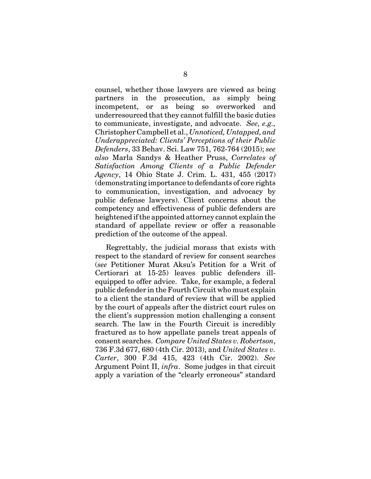counsel, whether those lawyers are viewed as being partners in the prosecution, as simply being incompetent, or as being so overworked and underresourced that they cannot fulfill the basic duties to communicate, investigate, and advocate. *See, e.g.,* Christopher Campbell et al., *Unnoticed, Untapped, and Underappreciated: Clients' Perceptions of their Public Defenders*, 33 Behav. Sci. Law 751, 762-764 (2015); *see also* Marla Sandys & Heather Pruss, *Correlates of Satisfaction Among Clients of a Public Defender Agency*, 14 Ohio State J. Crim. L. 431, 455 (2017) (demonstrating importance to defendants of core rights to communication, investigation, and advocacy by public defense lawyers). Client concerns about the competency and effectiveness of public defenders are heightened if the appointed attorney cannot explain the standard of appellate review or offer a reasonable prediction of the outcome of the appeal.

Regrettably, the judicial morass that exists with respect to the standard of review for consent searches (*see* Petitioner Murat Aksu's Petition for a Writ of Certiorari at 15-25) leaves public defenders illequipped to offer advice. Take, for example, a federal public defender in the Fourth Circuit who must explain to a client the standard of review that will be applied by the court of appeals after the district court rules on the client's suppression motion challenging a consent search. The law in the Fourth Circuit is incredibly fractured as to how appellate panels treat appeals of consent searches. *Compare United States v. Robertson*, 736 F.3d 677, 680 (4th Cir. 2013), and *United States v. Carter*, 300 F.3d 415, 423 (4th Cir. 2002). *See* Argument Point II, *infra*. Some judges in that circuit apply a variation of the "clearly erroneous" standard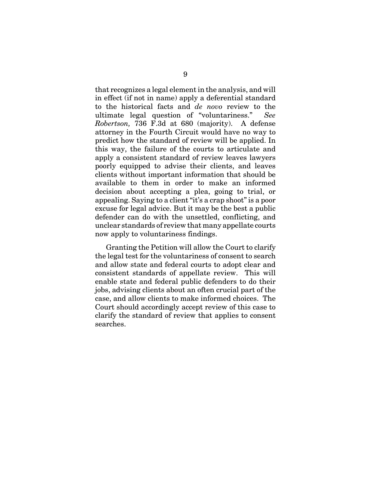that recognizes a legal element in the analysis, and will in effect (if not in name) apply a deferential standard to the historical facts and *de novo* review to the ultimate legal question of "voluntariness." *See Robertson,* 736 F.3d at 680 (majority). A defense attorney in the Fourth Circuit would have no way to predict how the standard of review will be applied. In this way, the failure of the courts to articulate and apply a consistent standard of review leaves lawyers poorly equipped to advise their clients, and leaves clients without important information that should be available to them in order to make an informed decision about accepting a plea, going to trial, or appealing. Saying to a client "it's a crap shoot" is a poor excuse for legal advice. But it may be the best a public defender can do with the unsettled, conflicting, and unclear standards of review that many appellate courts now apply to voluntariness findings.

Granting the Petition will allow the Court to clarify the legal test for the voluntariness of consent to search and allow state and federal courts to adopt clear and consistent standards of appellate review. This will enable state and federal public defenders to do their jobs, advising clients about an often crucial part of the case, and allow clients to make informed choices. The Court should accordingly accept review of this case to clarify the standard of review that applies to consent searches.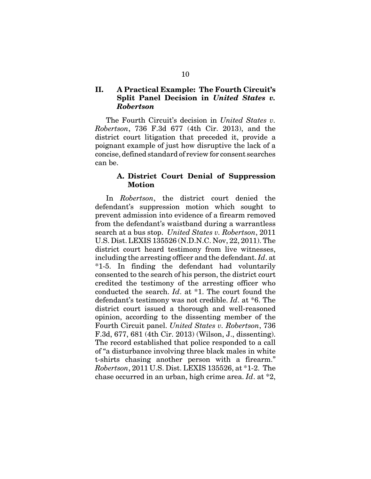## **II. A Practical Example: The Fourth Circuit's Split Panel Decision in** *United States v. Robertson*

The Fourth Circuit's decision in *United States v. Robertson*, 736 F.3d 677 (4th Cir. 2013), and the district court litigation that preceded it, provide a poignant example of just how disruptive the lack of a concise, defined standard of review for consent searches can be.

## **A. District Court Denial of Suppression Motion**

In *Robertson*, the district court denied the defendant's suppression motion which sought to prevent admission into evidence of a firearm removed from the defendant's waistband during a warrantless search at a bus stop. *United States v. Robertson*, 2011 U.S. Dist. LEXIS 135526 (N.D.N.C. Nov, 22, 2011). The district court heard testimony from live witnesses, including the arresting officer and the defendant. *Id*. at \*1-5. In finding the defendant had voluntarily consented to the search of his person, the district court credited the testimony of the arresting officer who conducted the search. *Id*. at \*1. The court found the defendant's testimony was not credible. *Id*. at \*6. The district court issued a thorough and well-reasoned opinion, according to the dissenting member of the Fourth Circuit panel. *United States v. Robertson*, 736 F.3d, 677, 681 (4th Cir. 2013) (Wilson, J., dissenting). The record established that police responded to a call of "a disturbance involving three black males in white t-shirts chasing another person with a firearm." *Robertson*, 2011 U.S. Dist. LEXIS 135526, at \*1-2. The chase occurred in an urban, high crime area. *Id*. at \*2,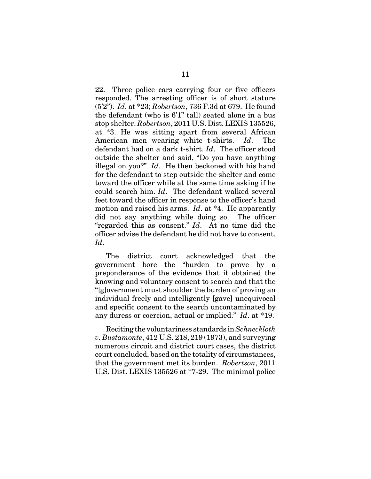22. Three police cars carrying four or five officers responded. The arresting officer is of short stature (5'2"). *Id*. at \*23; *Robertson*, 736 F.3d at 679. He found the defendant (who is 6'1" tall) seated alone in a bus stop shelter. *Robertson*, 2011 U.S. Dist. LEXIS 135526, at \*3. He was sitting apart from several African American men wearing white t-shirts. *Id*. The defendant had on a dark t-shirt. *Id*. The officer stood outside the shelter and said, "Do you have anything illegal on you?" *Id*. He then beckoned with his hand for the defendant to step outside the shelter and come toward the officer while at the same time asking if he could search him. *Id*. The defendant walked several feet toward the officer in response to the officer's hand motion and raised his arms. *Id*. at \*4. He apparently did not say anything while doing so. The officer "regarded this as consent." *Id*. At no time did the officer advise the defendant he did not have to consent. *Id*.

The district court acknowledged that the government bore the "burden to prove by a preponderance of the evidence that it obtained the knowing and voluntary consent to search and that the "[g]overnment must shoulder the burden of proving an individual freely and intelligently [gave] unequivocal and specific consent to the search uncontaminated by any duress or coercion, actual or implied." *Id*. at \*19.

Reciting the voluntariness standards in *Schneckloth v. Bustamonte*, 412 U.S. 218, 219 (1973), and surveying numerous circuit and district court cases, the district court concluded, based on the totality of circumstances, that the government met its burden. *Robertson*, 2011 U.S. Dist. LEXIS 135526 at \*7-29. The minimal police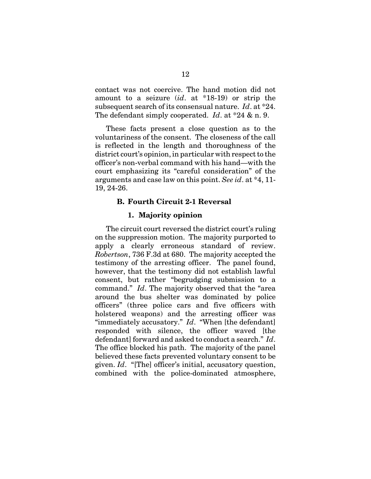contact was not coercive. The hand motion did not amount to a seizure (*id*. at \*18-19) or strip the subsequent search of its consensual nature. *Id*. at \*24. The defendant simply cooperated. *Id*. at \*24 & n. 9.

These facts present a close question as to the voluntariness of the consent. The closeness of the call is reflected in the length and thoroughness of the district court's opinion, in particular with respect to the officer's non-verbal command with his hand—with the court emphasizing its "careful consideration" of the arguments and case law on this point. *See id*. at \*4, 11- 19, 24-26.

#### **B. Fourth Circuit 2-1 Reversal**

### **1. Majority opinion**

The circuit court reversed the district court's ruling on the suppression motion. The majority purported to apply a clearly erroneous standard of review. *Robertson*, 736 F.3d at 680. The majority accepted the testimony of the arresting officer. The panel found, however, that the testimony did not establish lawful consent, but rather "begrudging submission to a command." *Id*. The majority observed that the "area around the bus shelter was dominated by police officers" (three police cars and five officers with holstered weapons) and the arresting officer was "immediately accusatory." *Id*. "When [the defendant] responded with silence, the officer waved [the defendant] forward and asked to conduct a search." *Id*. The office blocked his path. The majority of the panel believed these facts prevented voluntary consent to be given. *Id*. "[The] officer's initial, accusatory question, combined with the police-dominated atmosphere,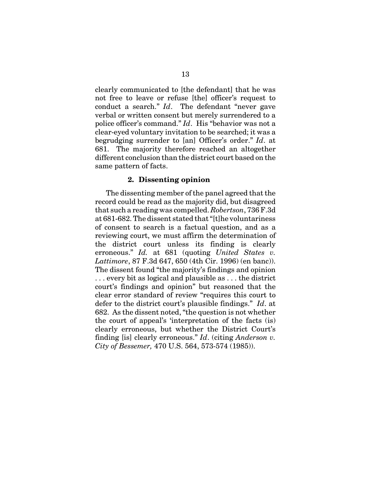clearly communicated to [the defendant] that he was not free to leave or refuse [the] officer's request to conduct a search." *Id*. The defendant "never gave verbal or written consent but merely surrendered to a police officer's command." *Id*. His "behavior was not a clear-eyed voluntary invitation to be searched; it was a begrudging surrender to [an] Officer's order." *Id*. at 681. The majority therefore reached an altogether different conclusion than the district court based on the same pattern of facts.

### **2. Dissenting opinion**

The dissenting member of the panel agreed that the record could be read as the majority did, but disagreed that such a reading was compelled. *Robertson*, 736 F.3d at 681-682. The dissent stated that "[t]he voluntariness of consent to search is a factual question, and as a reviewing court, we must affirm the determination of the district court unless its finding is clearly erroneous." *Id.* at 681 (quoting *United States v. Lattimore*, 87 F.3d 647, 650 (4th Cir. 1996) (en banc)). The dissent found "the majority's findings and opinion . . . every bit as logical and plausible as . . . the district court's findings and opinion" but reasoned that the clear error standard of review "requires this court to defer to the district court's plausible findings." *Id*. at 682. As the dissent noted, "the question is not whether the court of appeal's 'interpretation of the facts (is) clearly erroneous, but whether the District Court's finding [is] clearly erroneous." *Id*. (citing *Anderson v. City of Bessemer,* 470 U.S. 564, 573-574 (1985)).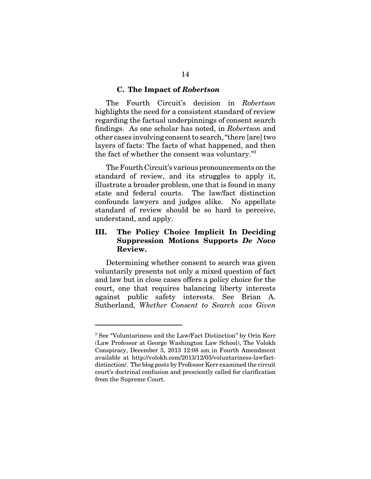#### **C. The Impact of** *Robertson*

The Fourth Circuit's decision in *Robertson* highlights the need for a consistent standard of review regarding the factual underpinnings of consent search findings. As one scholar has noted, in *Robertson* and other cases involving consent to search, "there [are] two layers of facts: The facts of what happened, and then the fact of whether the consent was voluntary."2

The Fourth Circuit's various pronouncements on the standard of review, and its struggles to apply it, illustrate a broader problem, one that is found in many state and federal courts. The law/fact distinction confounds lawyers and judges alike. No appellate standard of review should be so hard to perceive, understand, and apply.

## **III. The Policy Choice Implicit In Deciding Suppression Motions Supports** *De Novo* **Review.**

Determining whether consent to search was given voluntarily presents not only a mixed question of fact and law but in close cases offers a policy choice for the court, one that requires balancing liberty interests against public safety interests. See Brian A. Sutherland, *Whether Consent to Search was Given*

<sup>&</sup>lt;sup>2</sup> See "Voluntariness and the Law/Fact Distinction" by Orin Kerr (Law Professor at George Washington Law School), The Volokh Conspiracy, December 5, 2013 12:08 am in Fourth Amendment available at http://volokh.com/2013/12/05/voluntariness-lawfactdistinction/. The blog posts by Professor Kerr examined the circuit court's doctrinal confusion and presciently called for clarification from the Supreme Court.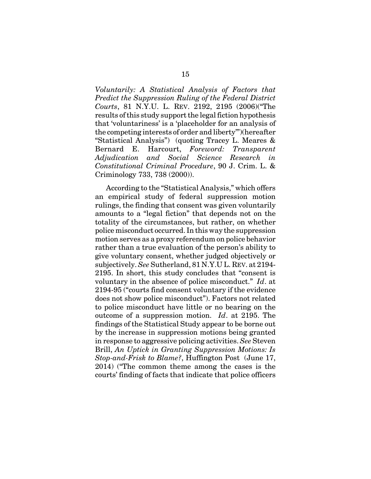*Voluntarily: A Statistical Analysis of Factors that Predict the Suppression Ruling of the Federal District Courts*, 81 N.Y.U. L. REV. 2192, 2195 (2006)("The results of this study support the legal fiction hypothesis that 'voluntariness' is a 'placeholder for an analysis of the competing interests of order and liberty'")(hereafter "Statistical Analysis") (quoting Tracey L. Meares & Bernard E. Harcourt, *Foreword: Transparent Adjudication and Social Science Research in Constitutional Criminal Procedure*, 90 J. Crim. L. & Criminology 733, 738 (2000)).

According to the "Statistical Analysis," which offers an empirical study of federal suppression motion rulings, the finding that consent was given voluntarily amounts to a "legal fiction" that depends not on the totality of the circumstances, but rather, on whether police misconduct occurred. In this way the suppression motion serves as a proxy referendum on police behavior rather than a true evaluation of the person's ability to give voluntary consent, whether judged objectively or subjectively. *See* Sutherland, 81 N.Y.U L. REV. at 2194- 2195. In short, this study concludes that "consent is voluntary in the absence of police misconduct." *Id*. at 2194-95 ("courts find consent voluntary if the evidence does not show police misconduct"). Factors not related to police misconduct have little or no bearing on the outcome of a suppression motion. *Id*. at 2195. The findings of the Statistical Study appear to be borne out by the increase in suppression motions being granted in response to aggressive policing activities. *See* Steven Brill, *An Uptick in Granting Suppression Motions: Is Stop-and-Frisk to Blame?*, Huffington Post (June 17, 2014) ("The common theme among the cases is the courts' finding of facts that indicate that police officers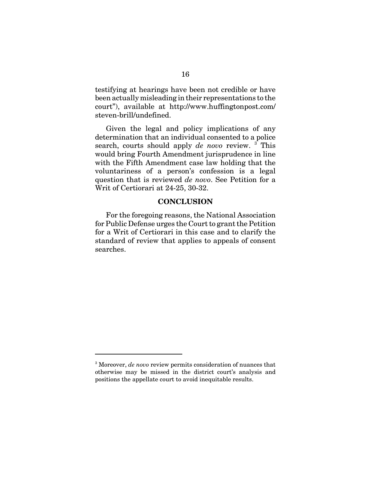testifying at hearings have been not credible or have been actually misleading in their representations to the court"), available at http://www.huffingtonpost.com/ steven-brill/undefined.

Given the legal and policy implications of any determination that an individual consented to a police search, courts should apply *de novo* review. <sup>3</sup> This would bring Fourth Amendment jurisprudence in line with the Fifth Amendment case law holding that the voluntariness of a person's confession is a legal question that is reviewed *de novo*. See Petition for a Writ of Certiorari at 24-25, 30-32.

### **CONCLUSION**

For the foregoing reasons, the National Association for Public Defense urges the Court to grant the Petition for a Writ of Certiorari in this case and to clarify the standard of review that applies to appeals of consent searches.

<sup>&</sup>lt;sup>3</sup> Moreover, *de novo* review permits consideration of nuances that otherwise may be missed in the district court's analysis and positions the appellate court to avoid inequitable results.